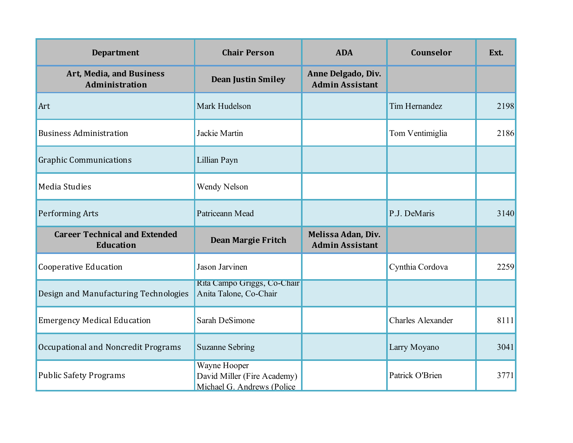| <b>Department</b>                                        | <b>Chair Person</b>                                                       | <b>ADA</b>                                   | Counselor            | Ext. |
|----------------------------------------------------------|---------------------------------------------------------------------------|----------------------------------------------|----------------------|------|
| Art, Media, and Business<br><b>Administration</b>        | <b>Dean Justin Smiley</b>                                                 | Anne Delgado, Div.<br><b>Admin Assistant</b> |                      |      |
| Art                                                      | Mark Hudelson                                                             |                                              | <b>Tim Hernandez</b> | 2198 |
| <b>Business Administration</b>                           | Jackie Martin                                                             |                                              | Tom Ventimiglia      | 2186 |
| <b>Graphic Communications</b>                            | Lillian Payn                                                              |                                              |                      |      |
| Media Studies                                            | <b>Wendy Nelson</b>                                                       |                                              |                      |      |
| <b>Performing Arts</b>                                   | Patriceann Mead                                                           |                                              | P.J. DeMaris         | 3140 |
| <b>Career Technical and Extended</b><br><b>Education</b> | Dean Margie Fritch                                                        | Melissa Adan, Div.<br><b>Admin Assistant</b> |                      |      |
| <b>Cooperative Education</b>                             | Jason Jarvinen                                                            |                                              | Cynthia Cordova      | 2259 |
| Design and Manufacturing Technologies                    | Rita Campo Griggs, Co-Chair<br>Anita Talone, Co-Chair                     |                                              |                      |      |
| <b>Emergency Medical Education</b>                       | Sarah DeSimone                                                            |                                              | Charles Alexander    | 8111 |
| <b>Occupational and Noncredit Programs</b>               | <b>Suzanne Sebring</b>                                                    |                                              | Larry Moyano         | 3041 |
| <b>Public Safety Programs</b>                            | Wayne Hooper<br>David Miller (Fire Academy)<br>Michael G. Andrews (Police |                                              | Patrick O'Brien      | 3771 |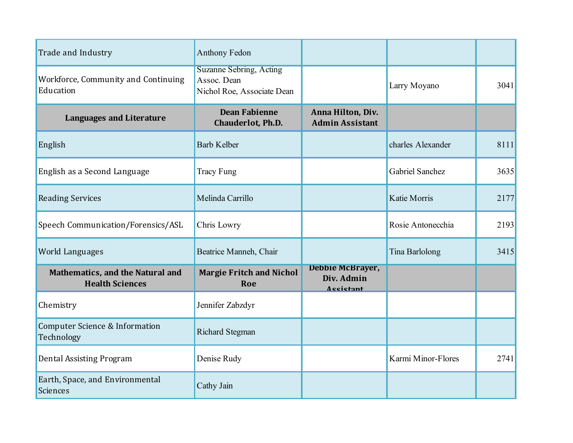| Trade and Industry                                                | <b>Anthony Fedon</b>                                                        |                                                    |                     |      |
|-------------------------------------------------------------------|-----------------------------------------------------------------------------|----------------------------------------------------|---------------------|------|
| Workforce, Community and Continuing<br>Education                  | <b>Suzanne Sebring, Acting</b><br>Assoc. Dean<br>Nichol Roe, Associate Dean |                                                    | Larry Moyano        | 3041 |
| <b>Languages and Literature</b>                                   | <b>Dean Fabienne</b><br>Chauderlot, Ph.D.                                   | Anna Hilton, Div.<br><b>Admin Assistant</b>        |                     |      |
| English                                                           | <b>Barb Kelber</b>                                                          |                                                    | charles Alexander   | 8111 |
| English as a Second Language                                      | <b>Tracy Fung</b>                                                           |                                                    | Gabriel Sanchez     | 3635 |
| <b>Reading Services</b>                                           | Melinda Carrillo                                                            |                                                    | <b>Katie Morris</b> | 2177 |
| Speech Communication/Forensics/ASL                                | Chris Lowry                                                                 |                                                    | Rosie Antonecchia   | 2193 |
| World Languages                                                   | Beatrice Manneh, Chair                                                      |                                                    | Tina Barlolong      | 3415 |
| <b>Mathematics, and the Natural and</b><br><b>Health Sciences</b> | <b>Margie Fritch and Nichol</b><br>Roe                                      | <b>Debbie McBrayer,</b><br>Div. Admin<br>Assistant |                     |      |
| Chemistry                                                         | Jennifer Zabzdyr                                                            |                                                    |                     |      |
| <b>Computer Science &amp; Information</b><br>Technology           | <b>Richard Stegman</b>                                                      |                                                    |                     |      |
| <b>Dental Assisting Program</b>                                   | Denise Rudy                                                                 |                                                    | Karmi Minor-Flores  | 2741 |
| Earth, Space, and Environmental<br><b>Sciences</b>                | Cathy Jain                                                                  |                                                    |                     |      |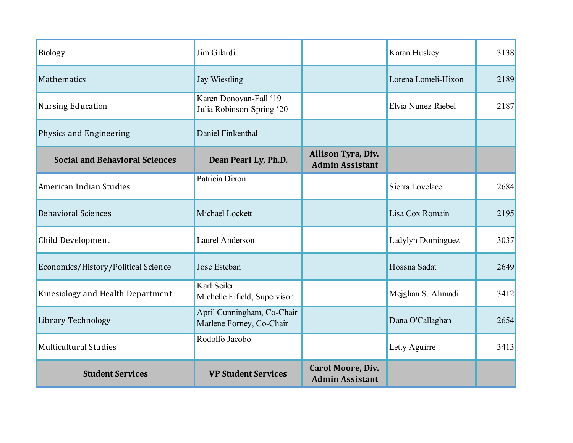| <b>Biology</b>                        | Jim Gilardi                                            |                                                    | Karan Huskey        | 3138 |
|---------------------------------------|--------------------------------------------------------|----------------------------------------------------|---------------------|------|
| <b>Mathematics</b>                    | <b>Jay Wiestling</b>                                   |                                                    | Lorena Lomeli-Hixon | 2189 |
| <b>Nursing Education</b>              | Karen Donovan-Fall '19<br>Julia Robinson-Spring '20    |                                                    | Elvia Nunez-Riebel  | 2187 |
| Physics and Engineering               | Daniel Finkenthal                                      |                                                    |                     |      |
| <b>Social and Behavioral Sciences</b> | Dean Pearl Ly, Ph.D.                                   | Allison Tyra, Div.<br><b>Admin Assistant</b>       |                     |      |
| American Indian Studies               | Patricia Dixon                                         |                                                    | Sierra Lovelace     | 2684 |
| <b>Behavioral Sciences</b>            | Michael Lockett                                        |                                                    | Lisa Cox Romain     | 2195 |
| Child Development                     | Laurel Anderson                                        |                                                    | Ladylyn Dominguez   | 3037 |
| Economics/History/Political Science   | Jose Esteban                                           |                                                    | Hossna Sadat        | 2649 |
| Kinesiology and Health Department     | Karl Seiler<br>Michelle Fifield, Supervisor            |                                                    | Mejghan S. Ahmadi   | 3412 |
| Library Technology                    | April Cunningham, Co-Chair<br>Marlene Forney, Co-Chair |                                                    | Dana O'Callaghan    | 2654 |
| <b>Multicultural Studies</b>          | Rodolfo Jacobo                                         |                                                    | Letty Aguirre       | 3413 |
| <b>Student Services</b>               | <b>VP Student Services</b>                             | <b>Carol Moore, Div.</b><br><b>Admin Assistant</b> |                     |      |